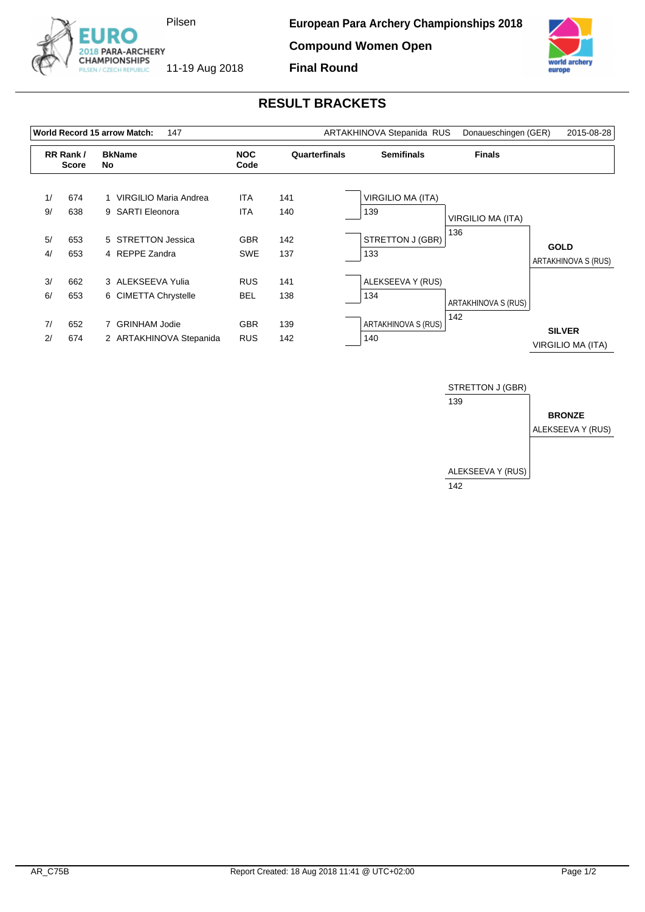

**Compound Women Open**



## **RESULT BRACKETS**

**Final Round**

|          |                          | World Record 15 arrow Match:<br>147        |                          |               | ARTAKHINOVA Stepanida RUS       | Donaueschingen (GER) | 2015-08-28                         |  |
|----------|--------------------------|--------------------------------------------|--------------------------|---------------|---------------------------------|----------------------|------------------------------------|--|
|          | RR Rank/<br><b>Score</b> | <b>BkName</b><br>No.                       | <b>NOC</b><br>Code       | Quarterfinals | <b>Semifinals</b>               | <b>Finals</b>        |                                    |  |
| 1/<br>9/ | 674<br>638               | VIRGILIO Maria Andrea<br>9 SARTI Eleonora  | <b>ITA</b><br><b>ITA</b> | 141<br>140    | <b>VIRGILIO MA (ITA)</b><br>139 | VIRGILIO MA (ITA)    |                                    |  |
| 5/<br>4/ | 653<br>653               | 5 STRETTON Jessica<br>4 REPPE Zandra       | <b>GBR</b><br><b>SWE</b> | 142<br>137    | STRETTON J (GBR)<br>133         | 136                  | <b>GOLD</b><br>ARTAKHINOVA S (RUS) |  |
| 3/<br>6/ | 662<br>653               | 3 ALEKSEEVA Yulia<br>6 CIMETTA Chrystelle  | <b>RUS</b><br><b>BEL</b> | 141<br>138    | ALEKSEEVA Y (RUS)<br>134        | ARTAKHINOVA S (RUS)  |                                    |  |
| 7/<br>2/ | 652<br>674               | 7 GRINHAM Jodie<br>2 ARTAKHINOVA Stepanida | <b>GBR</b><br><b>RUS</b> | 139<br>142    | ARTAKHINOVA S (RUS)<br>140      | 142                  | <b>SILVER</b><br>VIRGILIO MA (ITA) |  |